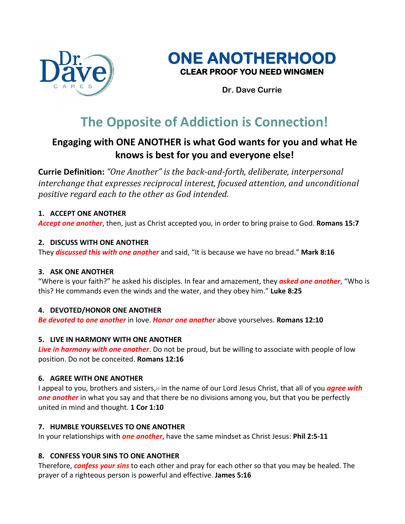



**Dr. Dave Currie**

# **The Opposite of Addiction is Connection!**

# **Engaging with ONE ANOTHER is what God wants for you and what He knows is best for you and everyone else!**

**Currie Definition:** "One Another" is the back-and-forth, deliberate, interpersonal *interchange that expresses reciprocal interest, focused attention, and unconditional positive regard each to the other as God intended.*

## **1. ACCEPT ONE ANOTHER**

*Accept one another*, then, just as Christ accepted you, in order to bring praise to God. **Romans 15:7**

## **2. DISCUSS WITH ONE ANOTHER**

They *discussed this with one another* and said, "It is because we have no bread." **Mark 8:16**

## **3. ASK ONE ANOTHER**

"Where is your faith?" he asked his disciples. In fear and amazement, they *asked one another*, "Who is this? He commands even the winds and the water, and they obey him." **Luke 8:25**

## **4. DEVOTED/HONOR ONE ANOTHER**

*Be devoted to one another* in love. *Honor one another* above yourselves. **Romans 12:10**

## **5. LIVE IN HARMONY WITH ONE ANOTHER**

*Live in harmony with one another*. Do not be proud, but be willing to associate with people of low position. Do not be conceited. **Romans 12:16**

## **6. AGREE WITH ONE ANOTHER**

I appeal to you, brothers and sisters,<sup>[a]</sup> in the name of our Lord Jesus Christ, that all of you **agree with** *one another* in what you say and that there be no divisions among you, but that you be perfectly united in mind and thought. **1 Cor 1:10**

## **7. HUMBLE YOURSELVES TO ONE ANOTHER**

In your relationships with *one another*, have the same mindset as Christ Jesus: **Phil 2:5-11**

## **8. CONFESS YOUR SINS TO ONE ANOTHER**

Therefore, *confess your sins* to each other and pray for each other so that you may be healed. The prayer of a righteous person is powerful and effective. **James 5:16**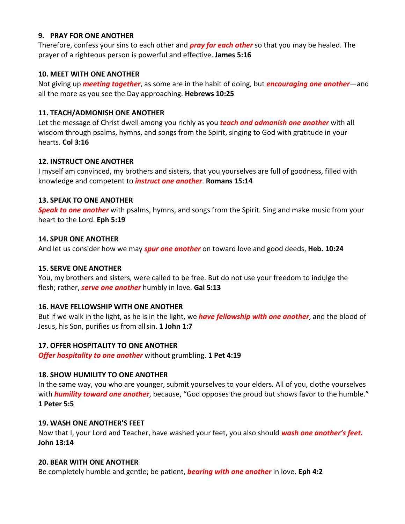#### **9. PRAY FOR ONE ANOTHER**

Therefore, confess your sins to each other and *pray for each other* so that you may be healed. The prayer of a righteous person is powerful and effective. **James 5:16**

#### **10. MEET WITH ONE ANOTHER**

Not giving up *meeting together*, as some are in the habit of doing, but *encouraging one another*—and all the more as you see the Day approaching. **Hebrews 10:25**

#### **11. TEACH/ADMONISH ONE ANOTHER**

Let the message of Christ dwell among you richly as you *teach and admonish one another* with all wisdom through psalms, hymns, and songs from the Spirit, singing to God with gratitude in your hearts. **Col 3:16**

#### **12. INSTRUCT ONE ANOTHER**

I myself am convinced, my brothers and sisters, that you yourselves are full of goodness, filled with knowledge and competent to *instruct one another*. **Romans 15:14**

#### **13. SPEAK TO ONE ANOTHER**

*Speak to one another* with psalms, hymns, and songs from the Spirit. Sing and make music from your heart to the Lord. **Eph 5:19**

#### **14. SPUR ONE ANOTHER**

And let us consider how we may *spur one another* on toward love and good deeds, **Heb. 10:24**

#### **15. SERVE ONE ANOTHER**

You, my brothers and sisters, were called to be free. But do not use your freedom to indulge the flesh; rather, *serve one another* humbly in love. **Gal 5:13**

#### **16. HAVE FELLOWSHIP WITH ONE ANOTHER**

But if we walk in the light, as he is in the light, we *have fellowship with one another*, and the blood of Jesus, his Son, purifies us from allsin. **1 John 1:7**

#### **17. OFFER HOSPITALITY TO ONE ANOTHER**

*Offer hospitality to one another* without grumbling. **1 Pet 4:19**

## **18. SHOW HUMILITY TO ONE ANOTHER**

In the same way, you who are younger, submit yourselves to your elders. All of you, clothe yourselves with *humility toward one another*, because, "God opposes the proud but shows favor to the humble." **1 Peter 5:5**

#### **19. WASH ONE ANOTHER'S FEET**

Now that I, your Lord and Teacher, have washed your feet, you also should *wash one another's feet.* **John 13:14**

#### **20. BEAR WITH ONE ANOTHER**

Be completely humble and gentle; be patient, *bearing with one another* in love. **Eph 4:2**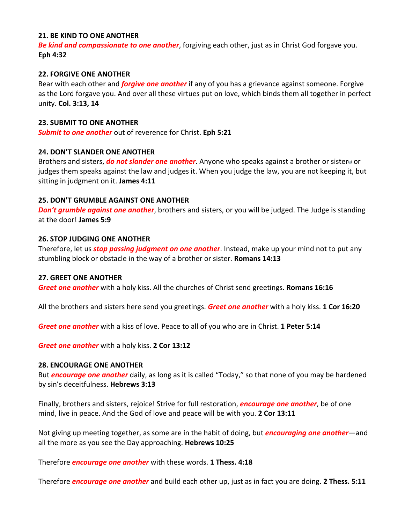#### **21. BE KIND TO ONE ANOTHER**

*Be kind and compassionate to one another*, forgiving each other, just as in Christ God forgave you. **Eph 4:32**

#### **22. FORGIVE ONE ANOTHER**

Bear with each other and *forgive one another* if any of you has a grievance against someone. Forgive as the Lord forgave you. And over all these virtues put on love, which binds them all together in perfect unity. **Col. 3:13, 14**

#### **23. SUBMIT TO ONE ANOTHER**

*Submit to one another* out of reverence for Christ. **Eph 5:21**

#### **24. DON'T SLANDER ONE ANOTHER**

Brothers and sisters, *do not slander one another*. Anyone who speaks against a brother or sister<sup>1</sup> or judges them speaks against the law and judges it. When you judge the law, you are not keeping it, but sitting in judgment on it. **James 4:11**

#### **25. DON'T GRUMBLE AGAINST ONE ANOTHER**

**Don't grumble against one another**, brothers and sisters, or you will be judged. The Judge is standing at the door! **James 5:9**

#### **26. STOP JUDGING ONE ANOTHER**

Therefore, let us *stop passing judgment on one another*. Instead, make up your mind not to put any stumbling block or obstacle in the way of a brother or sister. **Romans 14:13**

#### **27. GREET ONE ANOTHER**

*Greet one another* with a holy kiss. All the churches of Christ send greetings. **Romans 16:16**

All the brothers and sisters here send you greetings. *Greet one another* with a holy kiss. **1 Cor 16:20**

*Greet one another* with a kiss of love. Peace to all of you who are in Christ. **1 Peter 5:14**

*Greet one another* with a holy kiss. **2 Cor 13:12**

#### **28. ENCOURAGE ONE ANOTHER**

But *encourage one another* daily, as long as it is called "Today," so that none of you may be hardened by sin's deceitfulness. **Hebrews 3:13**

Finally, brothers and sisters, rejoice! Strive for full restoration, *encourage one another*, be of one mind, live in peace. And the God of love and peace will be with you. **2 Cor 13:11**

Not giving up meeting together, as some are in the habit of doing, but *encouraging one another*—and all the more as you see the Day approaching. **Hebrews 10:25**

Therefore *encourage one another* with these words. **1 Thess. 4:18**

Therefore *encourage one another* and build each other up, just as in fact you are doing. **2 Thess. 5:11**